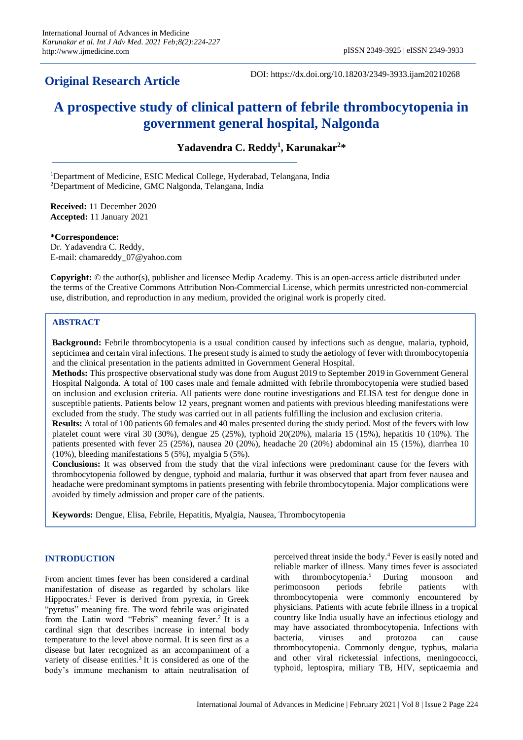# **Original Research Article**

DOI: https://dx.doi.org/10.18203/2349-3933.ijam20210268

# **A prospective study of clinical pattern of febrile thrombocytopenia in government general hospital, Nalgonda**

**Yadavendra C. Reddy<sup>1</sup> , Karunakar<sup>2</sup> \***

<sup>1</sup>Department of Medicine, ESIC Medical College, Hyderabad, Telangana, India <sup>2</sup>Department of Medicine, GMC Nalgonda, Telangana, India

**Received:** 11 December 2020 **Accepted:** 11 January 2021

**\*Correspondence:** Dr. Yadavendra C. Reddy, E-mail: chamareddy\_07@yahoo.com

**Copyright:** © the author(s), publisher and licensee Medip Academy. This is an open-access article distributed under the terms of the Creative Commons Attribution Non-Commercial License, which permits unrestricted non-commercial use, distribution, and reproduction in any medium, provided the original work is properly cited.

## **ABSTRACT**

**Background:** Febrile thrombocytopenia is a usual condition caused by infections such as dengue, malaria, typhoid, septicimea and certain viral infections. The present study is aimed to study the aetiology of fever with thrombocytopenia and the clinical presentation in the patients admitted in Government General Hospital.

**Methods:** This prospective observational study was done from August 2019 to September 2019 in Government General Hospital Nalgonda. A total of 100 cases male and female admitted with febrile thrombocytopenia were studied based on inclusion and exclusion criteria. All patients were done routine investigations and ELISA test for dengue done in susceptible patients. Patients below 12 years, pregnant women and patients with previous bleeding manifestations were excluded from the study. The study was carried out in all patients fulfilling the inclusion and exclusion criteria.

**Results:** A total of 100 patients 60 females and 40 males presented during the study period. Most of the fevers with low platelet count were viral 30 (30%), dengue 25 (25%), typhoid 20(20%), malaria 15 (15%), hepatitis 10 (10%). The patients presented with fever 25 (25%), nausea 20 (20%), headache 20 (20%) abdominal ain 15 (15%), diarrhea 10 (10%), bleeding manifestations 5 (5%), myalgia 5 (5%).

**Conclusions:** It was observed from the study that the viral infections were predominant cause for the fevers with thrombocytopenia followed by dengue, typhoid and malaria, furthur it was observed that apart from fever nausea and headache were predominant symptoms in patients presenting with febrile thrombocytopenia. Major complications were avoided by timely admission and proper care of the patients.

**Keywords:** Dengue, Elisa, Febrile, Hepatitis, Myalgia, Nausea, Thrombocytopenia

# **INTRODUCTION**

From ancient times fever has been considered a cardinal manifestation of disease as regarded by scholars like Hippocrates. <sup>1</sup> Fever is derived from pyrexia, in Greek "pyretus" meaning fire. The word febrile was originated from the Latin word "Febris" meaning fever.<sup>2</sup> It is a cardinal sign that describes increase in internal body temperature to the level above normal. It is seen first as a disease but later recognized as an accompaniment of a variety of disease entities. 3 It is considered as one of the body's immune mechanism to attain neutralisation of

perceived threat inside the body. <sup>4</sup> Fever is easily noted and reliable marker of illness. Many times fever is associated with thrombocytopenia.<sup>5</sup> <sup>5</sup> During monsoon and perimonsoon periods febrile patients with thrombocytopenia were commonly encountered by physicians. Patients with acute febrile illness in a tropical country like India usually have an infectious etiology and may have associated thrombocytopenia. Infections with bacteria, viruses and protozoa can cause thrombocytopenia. Commonly dengue, typhus, malaria and other viral ricketessial infections, meningococci, typhoid, leptospira, miliary TB, HIV, septicaemia and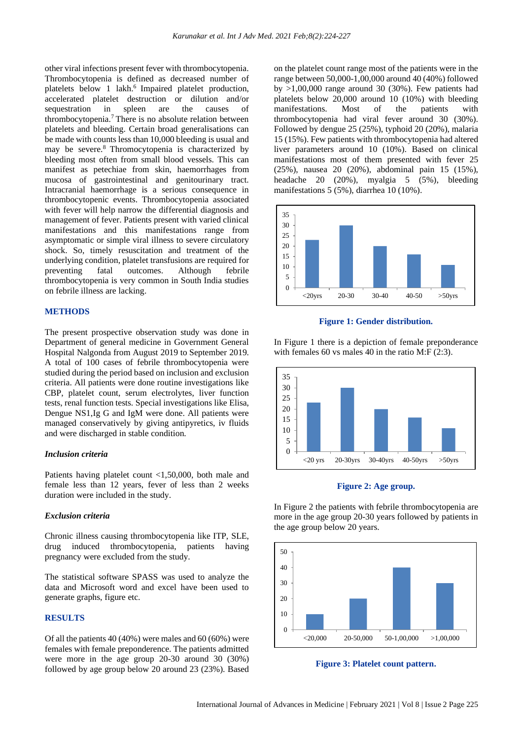other viral infections present fever with thrombocytopenia. Thrombocytopenia is defined as decreased number of platelets below 1 lakh. 6 Impaired platelet production, accelerated platelet destruction or dilution and/or sequestration in spleen are the causes of thrombocytopenia. <sup>7</sup> There is no absolute relation between platelets and bleeding. Certain broad generalisations can be made with counts less than 10,000 bleeding is usual and may be severe. <sup>8</sup> Thromocytopenia is characterized by bleeding most often from small blood vessels. This can manifest as petechiae from skin, haemorrhages from mucosa of gastrointestinal and genitourinary tract. Intracranial haemorrhage is a serious consequence in thrombocytopenic events. Thrombocytopenia associated with fever will help narrow the differential diagnosis and management of fever. Patients present with varied clinical manifestations and this manifestations range from asymptomatic or simple viral illness to severe circulatory shock. So, timely resuscitation and treatment of the underlying condition, platelet transfusions are required for preventing fatal outcomes. Although febrile thrombocytopenia is very common in South India studies on febrile illness are lacking.

#### **METHODS**

The present prospective observation study was done in Department of general medicine in Government General Hospital Nalgonda from August 2019 to September 2019. A total of 100 cases of febrile thrombocytopenia were studied during the period based on inclusion and exclusion criteria. All patients were done routine investigations like CBP, platelet count, serum electrolytes, liver function tests, renal function tests. Special investigations like Elisa, Dengue NS1,Ig G and IgM were done. All patients were managed conservatively by giving antipyretics, iv fluids and were discharged in stable condition.

#### *Inclusion criteria*

Patients having platelet count <1,50,000, both male and female less than 12 years, fever of less than 2 weeks duration were included in the study.

#### *Exclusion criteria*

Chronic illness causing thrombocytopenia like ITP, SLE, drug induced thrombocytopenia, patients having pregnancy were excluded from the study.

The statistical software SPASS was used to analyze the data and Microsoft word and excel have been used to generate graphs, figure etc.

## **RESULTS**

Of all the patients 40 (40%) were males and 60 (60%) were females with female preponderence. The patients admitted were more in the age group 20-30 around 30 (30%) followed by age group below 20 around 23 (23%). Based on the platelet count range most of the patients were in the range between 50,000-1,00,000 around 40 (40%) followed by  $>1,00,000$  range around 30 (30%). Few patients had platelets below 20,000 around 10 (10%) with bleeding manifestations. Most of the patients with thrombocytopenia had viral fever around 30 (30%). Followed by dengue 25 (25%), typhoid 20 (20%), malaria 15 (15%). Few patients with thrombocytopenia had altered liver parameters around 10 (10%). Based on clinical manifestations most of them presented with fever 25 (25%), nausea 20 (20%), abdominal pain 15 (15%), headache 20 (20%), myalgia 5 (5%), bleeding manifestations 5 (5%), diarrhea 10 (10%).



#### **Figure 1: Gender distribution.**

In Figure 1 there is a depiction of female preponderance with females 60 vs males 40 in the ratio M:F (2:3).



**Figure 2: Age group.**

In Figure 2 the patients with febrile thrombocytopenia are more in the age group 20-30 years followed by patients in the age group below 20 years.



**Figure 3: Platelet count pattern.**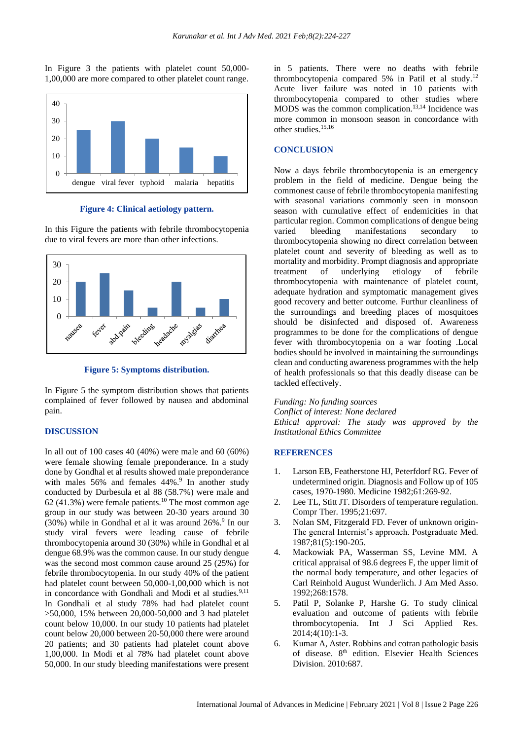In Figure 3 the patients with platelet count 50,000- 1,00,000 are more compared to other platelet count range.



**Figure 4: Clinical aetiology pattern.**

In this Figure the patients with febrile thrombocytopenia due to viral fevers are more than other infections.



**Figure 5: Symptoms distribution.**

In Figure 5 the symptom distribution shows that patients complained of fever followed by nausea and abdominal pain.

#### **DISCUSSION**

In all out of 100 cases 40 (40%) were male and 60 (60%) were female showing female preponderance. In a study done by Gondhal et al results showed male preponderance with males 56% and females 44%.<sup>9</sup> In another study conducted by Durbesula et al 88 (58.7%) were male and 62 (41.3%) were female patients.<sup>10</sup> The most common age group in our study was between 20-30 years around 30  $(30%)$  while in Gondhal et al it was around  $26\%$ .<sup>9</sup> In our study viral fevers were leading cause of febrile thrombocytopenia around 30 (30%) while in Gondhal et al dengue 68.9% was the common cause. In our study dengue was the second most common cause around 25 (25%) for febrile thrombocytopenia. In our study 40% of the patient had platelet count between 50,000-1,00,000 which is not in concordance with Gondhali and Modi et al studies.<sup>9,11</sup> In Gondhali et al study 78% had had platelet count >50,000, 15% between 20,000-50,000 and 3 had platelet count below 10,000. In our study 10 patients had platelet count below 20,000 between 20-50,000 there were around 20 patients; and 30 patients had platelet count above 1,00,000. In Modi et al 78% had platelet count above 50,000. In our study bleeding manifestations were present

in 5 patients. There were no deaths with febrile thrombocytopenia compared 5% in Patil et al study.<sup>12</sup> Acute liver failure was noted in 10 patients with thrombocytopenia compared to other studies where MODS was the common complication. 13,14 Incidence was more common in monsoon season in concordance with other studies. 15,16

#### **CONCLUSION**

Now a days febrile thrombocytopenia is an emergency problem in the field of medicine. Dengue being the commonest cause of febrile thrombocytopenia manifesting with seasonal variations commonly seen in monsoon season with cumulative effect of endemicities in that particular region. Common complications of dengue being varied bleeding manifestations secondary to thrombocytopenia showing no direct correlation between platelet count and severity of bleeding as well as to mortality and morbidity. Prompt diagnosis and appropriate treatment of underlying etiology of febrile thrombocytopenia with maintenance of platelet count, adequate hydration and symptomatic management gives good recovery and better outcome. Furthur cleanliness of the surroundings and breeding places of mosquitoes should be disinfected and disposed of. Awareness programmes to be done for the complications of dengue fever with thrombocytopenia on a war footing .Local bodies should be involved in maintaining the surroundings clean and conducting awareness programmes with the help of health professionals so that this deadly disease can be tackled effectively.

*Funding: No funding sources*

*Conflict of interest: None declared Ethical approval: The study was approved by the Institutional Ethics Committee*

#### **REFERENCES**

- 1. Larson EB, Featherstone HJ, Peterfdorf RG. Fever of undetermined origin. Diagnosis and Follow up of 105 cases, 1970-1980. Medicine 1982;61:269-92.
- 2. Lee TL, Stitt JT. Disorders of temperature regulation. Compr Ther. 1995;21:697.
- 3. Nolan SM, Fitzgerald FD. Fever of unknown origin-The general Internist's approach. Postgraduate Med. 1987;81(5):190-205.
- 4. Mackowiak PA, Wasserman SS, Levine MM. A critical appraisal of 98.6 degrees F, the upper limit of the normal body temperature, and other legacies of Carl Reinhold August Wunderlich. J Am Med Asso. 1992;268:1578.
- 5. Patil P, Solanke P, Harshe G. To study clinical evaluation and outcome of patients with febrile thrombocytopenia. Int J Sci Applied Res. 2014;4(10):1-3.
- 6. Kumar A, Aster. Robbins and cotran pathologic basis of disease. 8<sup>th</sup> edition. Elsevier Health Sciences Division. 2010:687.